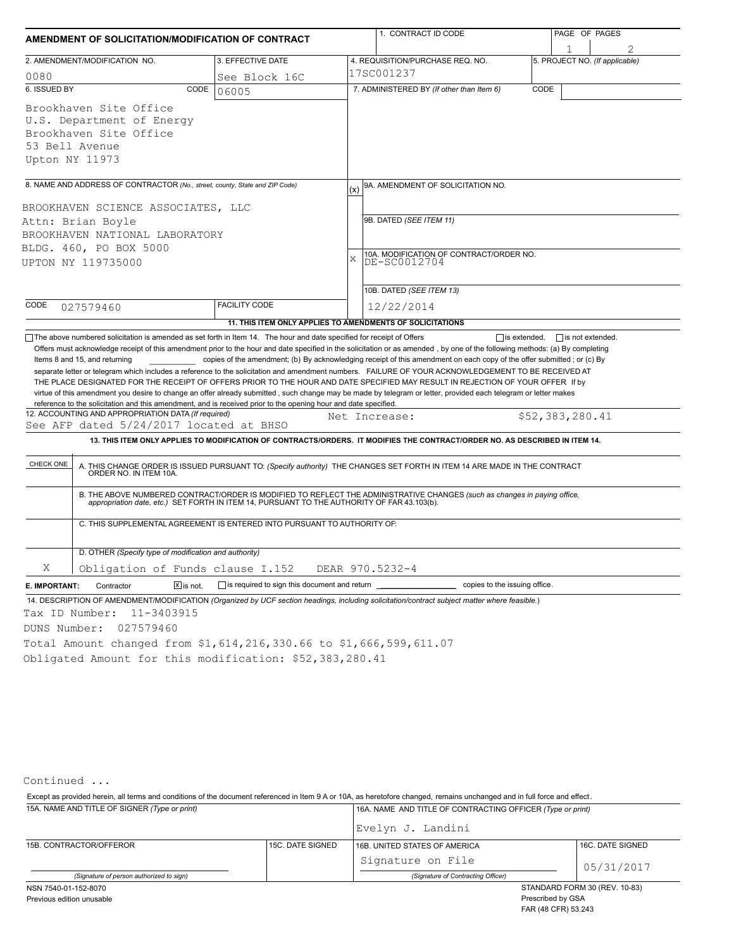|                                                                                                                                                                                                                                                                                                                                                                                                                                                                                                                                                                                                                                                                                                                 |                                                                          | 1. CONTRACT ID CODE |                                                                                                                                                                                                                          | PAGE OF PAGES                  |                 |  |  |  |
|-----------------------------------------------------------------------------------------------------------------------------------------------------------------------------------------------------------------------------------------------------------------------------------------------------------------------------------------------------------------------------------------------------------------------------------------------------------------------------------------------------------------------------------------------------------------------------------------------------------------------------------------------------------------------------------------------------------------|--------------------------------------------------------------------------|---------------------|--------------------------------------------------------------------------------------------------------------------------------------------------------------------------------------------------------------------------|--------------------------------|-----------------|--|--|--|
| AMENDMENT OF SOLICITATION/MODIFICATION OF CONTRACT                                                                                                                                                                                                                                                                                                                                                                                                                                                                                                                                                                                                                                                              |                                                                          |                     |                                                                                                                                                                                                                          |                                |                 |  |  |  |
| 2. AMENDMENT/MODIFICATION NO.                                                                                                                                                                                                                                                                                                                                                                                                                                                                                                                                                                                                                                                                                   | 3. EFFECTIVE DATE                                                        |                     | 4. REQUISITION/PURCHASE REQ. NO.                                                                                                                                                                                         | 5. PROJECT NO. (If applicable) |                 |  |  |  |
| 0080                                                                                                                                                                                                                                                                                                                                                                                                                                                                                                                                                                                                                                                                                                            | See Block 16C                                                            |                     | 17SC001237                                                                                                                                                                                                               |                                |                 |  |  |  |
| 6. ISSUED BY<br>CODE                                                                                                                                                                                                                                                                                                                                                                                                                                                                                                                                                                                                                                                                                            | 06005                                                                    |                     | 7. ADMINISTERED BY (If other than Item 6)                                                                                                                                                                                | CODE                           |                 |  |  |  |
| Brookhaven Site Office                                                                                                                                                                                                                                                                                                                                                                                                                                                                                                                                                                                                                                                                                          |                                                                          |                     |                                                                                                                                                                                                                          |                                |                 |  |  |  |
| U.S. Department of Energy                                                                                                                                                                                                                                                                                                                                                                                                                                                                                                                                                                                                                                                                                       |                                                                          |                     |                                                                                                                                                                                                                          |                                |                 |  |  |  |
| Brookhaven Site Office                                                                                                                                                                                                                                                                                                                                                                                                                                                                                                                                                                                                                                                                                          |                                                                          |                     |                                                                                                                                                                                                                          |                                |                 |  |  |  |
| 53 Bell Avenue                                                                                                                                                                                                                                                                                                                                                                                                                                                                                                                                                                                                                                                                                                  |                                                                          |                     |                                                                                                                                                                                                                          |                                |                 |  |  |  |
| Upton NY 11973                                                                                                                                                                                                                                                                                                                                                                                                                                                                                                                                                                                                                                                                                                  |                                                                          |                     |                                                                                                                                                                                                                          |                                |                 |  |  |  |
|                                                                                                                                                                                                                                                                                                                                                                                                                                                                                                                                                                                                                                                                                                                 |                                                                          |                     |                                                                                                                                                                                                                          |                                |                 |  |  |  |
| 8. NAME AND ADDRESS OF CONTRACTOR (No., street, county, State and ZIP Code)                                                                                                                                                                                                                                                                                                                                                                                                                                                                                                                                                                                                                                     |                                                                          |                     | 9A. AMENDMENT OF SOLICITATION NO.<br>(x)                                                                                                                                                                                 |                                |                 |  |  |  |
| BROOKHAVEN SCIENCE ASSOCIATES, LLC                                                                                                                                                                                                                                                                                                                                                                                                                                                                                                                                                                                                                                                                              |                                                                          |                     |                                                                                                                                                                                                                          |                                |                 |  |  |  |
| Attn: Brian Boyle                                                                                                                                                                                                                                                                                                                                                                                                                                                                                                                                                                                                                                                                                               |                                                                          |                     | 9B. DATED (SEE ITEM 11)                                                                                                                                                                                                  |                                |                 |  |  |  |
| BROOKHAVEN NATIONAL LABORATORY                                                                                                                                                                                                                                                                                                                                                                                                                                                                                                                                                                                                                                                                                  |                                                                          |                     |                                                                                                                                                                                                                          |                                |                 |  |  |  |
| BLDG. 460, PO BOX 5000                                                                                                                                                                                                                                                                                                                                                                                                                                                                                                                                                                                                                                                                                          |                                                                          |                     |                                                                                                                                                                                                                          |                                |                 |  |  |  |
| UPTON NY 119735000                                                                                                                                                                                                                                                                                                                                                                                                                                                                                                                                                                                                                                                                                              |                                                                          |                     | 10A. MODIFICATION OF CONTRACT/ORDER NO.<br>DE-SC0012704                                                                                                                                                                  |                                |                 |  |  |  |
|                                                                                                                                                                                                                                                                                                                                                                                                                                                                                                                                                                                                                                                                                                                 |                                                                          |                     | 10B. DATED (SEE ITEM 13)                                                                                                                                                                                                 |                                |                 |  |  |  |
| CODE                                                                                                                                                                                                                                                                                                                                                                                                                                                                                                                                                                                                                                                                                                            | <b>FACILITY CODE</b>                                                     |                     |                                                                                                                                                                                                                          |                                |                 |  |  |  |
| 027579460                                                                                                                                                                                                                                                                                                                                                                                                                                                                                                                                                                                                                                                                                                       |                                                                          |                     | 12/22/2014                                                                                                                                                                                                               |                                |                 |  |  |  |
|                                                                                                                                                                                                                                                                                                                                                                                                                                                                                                                                                                                                                                                                                                                 | 11. THIS ITEM ONLY APPLIES TO AMENDMENTS OF SOLICITATIONS                |                     |                                                                                                                                                                                                                          |                                |                 |  |  |  |
| Items 8 and 15, and returning<br>separate letter or telegram which includes a reference to the solicitation and amendment numbers. FAILURE OF YOUR ACKNOWLEDGEMENT TO BE RECEIVED AT<br>THE PLACE DESIGNATED FOR THE RECEIPT OF OFFERS PRIOR TO THE HOUR AND DATE SPECIFIED MAY RESULT IN REJECTION OF YOUR OFFER If by<br>virtue of this amendment you desire to change an offer already submitted, such change may be made by telegram or letter, provided each telegram or letter makes<br>reference to the solicitation and this amendment, and is received prior to the opening hour and date specified.<br>12. ACCOUNTING AND APPROPRIATION DATA (If required)<br>See AFP dated 5/24/2017 located at BHSO |                                                                          |                     | copies of the amendment; (b) By acknowledging receipt of this amendment on each copy of the offer submitted; or (c) By<br>Net Increase:                                                                                  |                                | \$52,383,280.41 |  |  |  |
|                                                                                                                                                                                                                                                                                                                                                                                                                                                                                                                                                                                                                                                                                                                 |                                                                          |                     | 13. THIS ITEM ONLY APPLIES TO MODIFICATION OF CONTRACTS/ORDERS. IT MODIFIES THE CONTRACT/ORDER NO. AS DESCRIBED IN ITEM 14.                                                                                              |                                |                 |  |  |  |
| CHECK ONE                                                                                                                                                                                                                                                                                                                                                                                                                                                                                                                                                                                                                                                                                                       |                                                                          |                     | A. THIS CHANGE ORDER IS ISSUED PURSUANT TO: (Specify authority) THE CHANGES SET FORTH IN ITEM 14 ARE MADE IN THE CONTRACT ORDER NO. IN ITEM 10A.                                                                         |                                |                 |  |  |  |
|                                                                                                                                                                                                                                                                                                                                                                                                                                                                                                                                                                                                                                                                                                                 |                                                                          |                     | B. THE ABOVE NUMBERED CONTRACT/ORDER IS MODIFIED TO REFLECT THE ADMINISTRATIVE CHANGES (such as changes in paying office,<br>appropriation date, etc.) SET FORTH IN ITEM 14, PURSUANT TO THE AUTHORITY OF FAR 43.103(b). |                                |                 |  |  |  |
|                                                                                                                                                                                                                                                                                                                                                                                                                                                                                                                                                                                                                                                                                                                 | C. THIS SUPPLEMENTAL AGREEMENT IS ENTERED INTO PURSUANT TO AUTHORITY OF: |                     |                                                                                                                                                                                                                          |                                |                 |  |  |  |
| D. OTHER (Specify type of modification and authority)                                                                                                                                                                                                                                                                                                                                                                                                                                                                                                                                                                                                                                                           |                                                                          |                     |                                                                                                                                                                                                                          |                                |                 |  |  |  |
| Χ<br>Obligation of Funds clause I.152                                                                                                                                                                                                                                                                                                                                                                                                                                                                                                                                                                                                                                                                           |                                                                          |                     | DEAR 970.5232-4                                                                                                                                                                                                          |                                |                 |  |  |  |
| $X$ is not.<br>E. IMPORTANT:<br>Contractor                                                                                                                                                                                                                                                                                                                                                                                                                                                                                                                                                                                                                                                                      | is required to sign this document and return                             |                     | copies to the issuing office.                                                                                                                                                                                            |                                |                 |  |  |  |
| 14. DESCRIPTION OF AMENDMENT/MODIFICATION (Organized by UCF section headings, including solicitation/contract subject matter where feasible.)                                                                                                                                                                                                                                                                                                                                                                                                                                                                                                                                                                   |                                                                          |                     |                                                                                                                                                                                                                          |                                |                 |  |  |  |
| 11-3403915<br>Tax ID Number:                                                                                                                                                                                                                                                                                                                                                                                                                                                                                                                                                                                                                                                                                    |                                                                          |                     |                                                                                                                                                                                                                          |                                |                 |  |  |  |
|                                                                                                                                                                                                                                                                                                                                                                                                                                                                                                                                                                                                                                                                                                                 |                                                                          |                     |                                                                                                                                                                                                                          |                                |                 |  |  |  |
| DUNS Number:<br>027579460                                                                                                                                                                                                                                                                                                                                                                                                                                                                                                                                                                                                                                                                                       |                                                                          |                     |                                                                                                                                                                                                                          |                                |                 |  |  |  |
| Total Amount changed from \$1,614,216,330.66 to \$1,666,599,611.07                                                                                                                                                                                                                                                                                                                                                                                                                                                                                                                                                                                                                                              |                                                                          |                     |                                                                                                                                                                                                                          |                                |                 |  |  |  |
| Obligated Amount for this modification: \$52,383,280.41                                                                                                                                                                                                                                                                                                                                                                                                                                                                                                                                                                                                                                                         |                                                                          |                     |                                                                                                                                                                                                                          |                                |                 |  |  |  |

Continued ...

15A. NAME AND TITLE OF SIGNER *(Type or print)* 16A. NAME AND TITLE OF CONTRACTING OFFICER *(Type or print)* Except as provided herein, all terms and conditions of the document referenced in Item 9 A or 10A, as heretofore changed, remains unchanged and in full force and effect .

|                                          |                  | Evelyn J. Landini                  |                               |  |  |
|------------------------------------------|------------------|------------------------------------|-------------------------------|--|--|
| 15B. CONTRACTOR/OFFEROR                  | 15C. DATE SIGNED | 16B. UNITED STATES OF AMERICA      | 16C. DATE SIGNED              |  |  |
|                                          |                  | Signature on File                  | 05/31/2017                    |  |  |
| (Signature of person authorized to sign) |                  | (Signature of Contracting Officer) |                               |  |  |
| NSN 7540-01-152-8070                     |                  |                                    | STANDARD FORM 30 (REV. 10-83) |  |  |